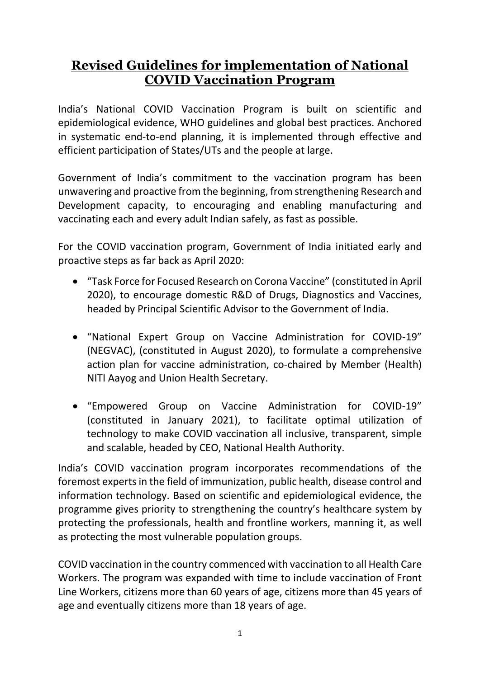## **Revised Guidelines for implementation of National COVID Vaccination Program**

India's National COVID Vaccination Program is built on scientific and epidemiological evidence, WHO guidelines and global best practices. Anchored in systematic end-to-end planning, it is implemented through effective and efficient participation of States/UTs and the people at large.

Government of India's commitment to the vaccination program has been unwavering and proactive from the beginning, from strengthening Research and Development capacity, to encouraging and enabling manufacturing and vaccinating each and every adult Indian safely, as fast as possible.

For the COVID vaccination program, Government of India initiated early and proactive steps as far back as April 2020:

- "Task Force for Focused Research on Corona Vaccine" (constituted in April 2020), to encourage domestic R&D of Drugs, Diagnostics and Vaccines, headed by Principal Scientific Advisor to the Government of India.
- "National Expert Group on Vaccine Administration for COVID-19" (NEGVAC), (constituted in August 2020), to formulate a comprehensive action plan for vaccine administration, co-chaired by Member (Health) NITI Aayog and Union Health Secretary.
- "Empowered Group on Vaccine Administration for COVID-19" (constituted in January 2021), to facilitate optimal utilization of technology to make COVID vaccination all inclusive, transparent, simple and scalable, headed by CEO, National Health Authority.

India's COVID vaccination program incorporates recommendations of the foremost experts in the field of immunization, public health, disease control and information technology. Based on scientific and epidemiological evidence, the programme gives priority to strengthening the country's healthcare system by protecting the professionals, health and frontline workers, manning it, as well as protecting the most vulnerable population groups.

COVID vaccination in the country commenced with vaccination to all Health Care Workers. The program was expanded with time to include vaccination of Front Line Workers, citizens more than 60 years of age, citizens more than 45 years of age and eventually citizens more than 18 years of age.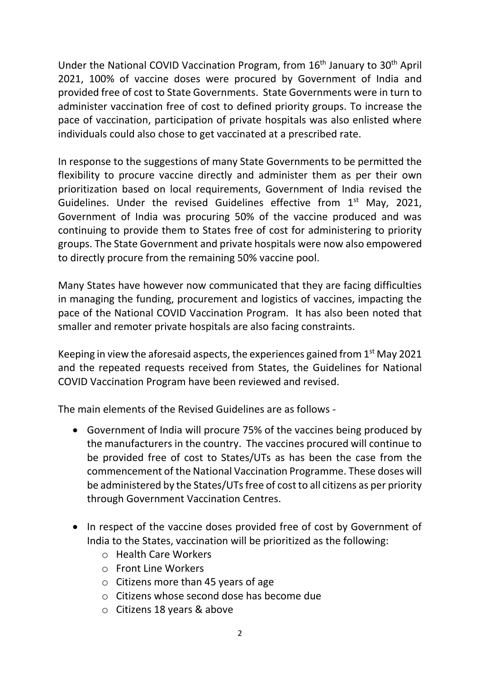Under the National COVID Vaccination Program, from 16<sup>th</sup> January to 30<sup>th</sup> April 2021, 100% of vaccine doses were procured by Government of India and provided free of cost to State Governments. State Governments were in turn to administer vaccination free of cost to defined priority groups. To increase the pace of vaccination, participation of private hospitals was also enlisted where individuals could also chose to get vaccinated at a prescribed rate.

In response to the suggestions of many State Governments to be permitted the flexibility to procure vaccine directly and administer them as per their own prioritization based on local requirements, Government of India revised the Guidelines. Under the revised Guidelines effective from 1<sup>st</sup> May, 2021, Government of India was procuring 50% of the vaccine produced and was continuing to provide them to States free of cost for administering to priority groups. The State Government and private hospitals were now also empowered to directly procure from the remaining 50% vaccine pool.

Many States have however now communicated that they are facing difficulties in managing the funding, procurement and logistics of vaccines, impacting the pace of the National COVID Vaccination Program. It has also been noted that smaller and remoter private hospitals are also facing constraints.

Keeping in view the aforesaid aspects, the experiences gained from  $1<sup>st</sup>$  May 2021 and the repeated requests received from States, the Guidelines for National COVID Vaccination Program have been reviewed and revised.

The main elements of the Revised Guidelines are as follows -

- Government of India will procure 75% of the vaccines being produced by the manufacturers in the country. The vaccines procured will continue to be provided free of cost to States/UTs as has been the case from the commencement of the National Vaccination Programme. These doses will be administered by the States/UTs free of cost to all citizens as per priority through Government Vaccination Centres.
- In respect of the vaccine doses provided free of cost by Government of India to the States, vaccination will be prioritized as the following:
	- o Health Care Workers
	- o Front Line Workers
	- o Citizens more than 45 years of age
	- o Citizens whose second dose has become due
	- o Citizens 18 years & above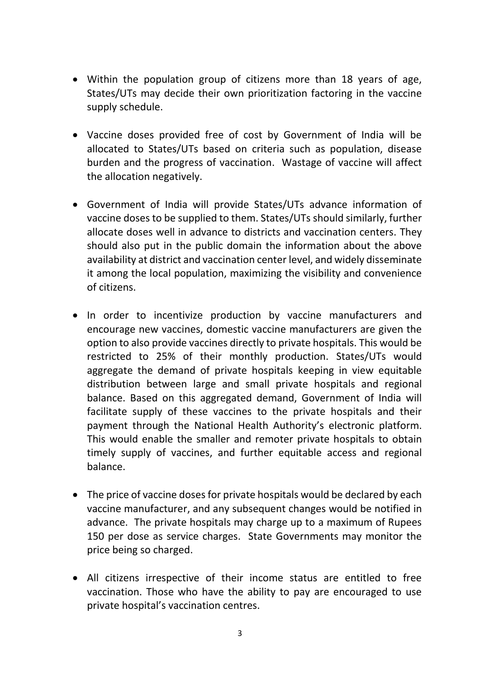- Within the population group of citizens more than 18 years of age, States/UTs may decide their own prioritization factoring in the vaccine supply schedule.
- Vaccine doses provided free of cost by Government of India will be allocated to States/UTs based on criteria such as population, disease burden and the progress of vaccination. Wastage of vaccine will affect the allocation negatively.
- Government of India will provide States/UTs advance information of vaccine doses to be supplied to them. States/UTs should similarly, further allocate doses well in advance to districts and vaccination centers. They should also put in the public domain the information about the above availability at district and vaccination center level, and widely disseminate it among the local population, maximizing the visibility and convenience of citizens.
- In order to incentivize production by vaccine manufacturers and encourage new vaccines, domestic vaccine manufacturers are given the option to also provide vaccines directly to private hospitals. This would be restricted to 25% of their monthly production. States/UTs would aggregate the demand of private hospitals keeping in view equitable distribution between large and small private hospitals and regional balance. Based on this aggregated demand, Government of India will facilitate supply of these vaccines to the private hospitals and their payment through the National Health Authority's electronic platform. This would enable the smaller and remoter private hospitals to obtain timely supply of vaccines, and further equitable access and regional balance.
- The price of vaccine doses for private hospitals would be declared by each vaccine manufacturer, and any subsequent changes would be notified in advance. The private hospitals may charge up to a maximum of Rupees 150 per dose as service charges. State Governments may monitor the price being so charged.
- All citizens irrespective of their income status are entitled to free vaccination. Those who have the ability to pay are encouraged to use private hospital's vaccination centres.